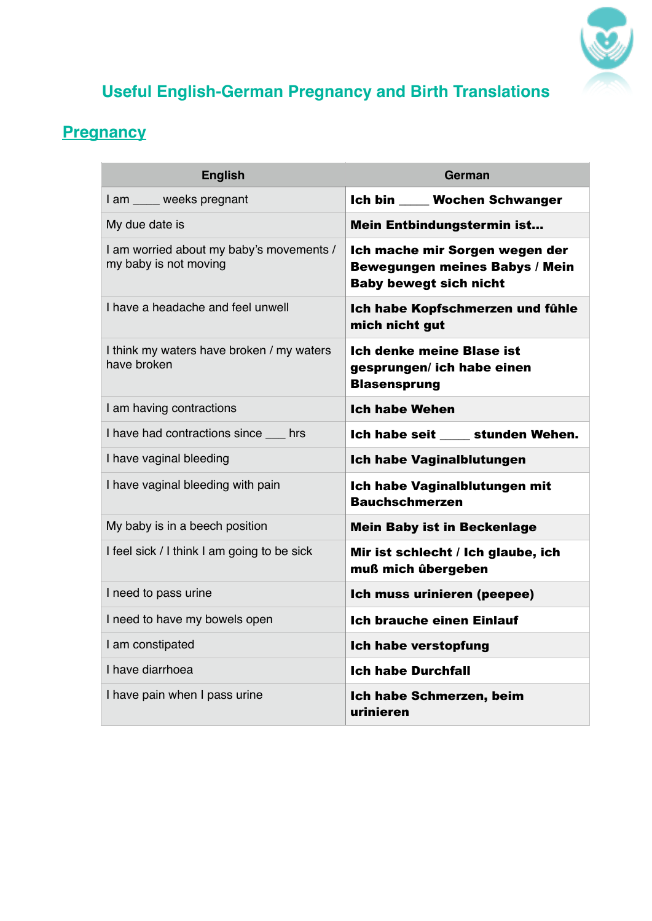

# **Useful English-German Pregnancy and Birth Translations**

## **Pregnancy**

| <b>English</b>                                                    | German                                                                                                   |
|-------------------------------------------------------------------|----------------------------------------------------------------------------------------------------------|
| I am ____ weeks pregnant                                          | <b>Ich bin ____ Wochen Schwanger</b>                                                                     |
| My due date is                                                    | Mein Entbindungstermin ist                                                                               |
| I am worried about my baby's movements /<br>my baby is not moving | Ich mache mir Sorgen wegen der<br><b>Bewegungen meines Babys / Mein</b><br><b>Baby bewegt sich nicht</b> |
| I have a headache and feel unwell                                 | Ich habe Kopfschmerzen und fühle<br>mich nicht gut                                                       |
| I think my waters have broken / my waters<br>have broken          | Ich denke meine Blase ist<br>gesprungen/ ich habe einen<br><b>Blasensprung</b>                           |
| I am having contractions                                          | <b>Ich habe Wehen</b>                                                                                    |
| I have had contractions since hrs                                 | Ich habe seit ___ stunden Wehen.                                                                         |
| I have vaginal bleeding                                           | Ich habe Vaginalblutungen                                                                                |
| I have vaginal bleeding with pain                                 | Ich habe Vaginalblutungen mit<br><b>Bauchschmerzen</b>                                                   |
| My baby is in a beech position                                    | <b>Mein Baby ist in Beckenlage</b>                                                                       |
| I feel sick / I think I am going to be sick                       | Mir ist schlecht / Ich glaube, ich<br>muß mich übergeben                                                 |
| I need to pass urine                                              | Ich muss urinieren (peepee)                                                                              |
| I need to have my bowels open                                     | <b>Ich brauche einen Einlauf</b>                                                                         |
| I am constipated                                                  | <b>Ich habe verstopfung</b>                                                                              |
| I have diarrhoea                                                  | <b>Ich habe Durchfall</b>                                                                                |
| I have pain when I pass urine                                     | Ich habe Schmerzen, beim<br>urinieren                                                                    |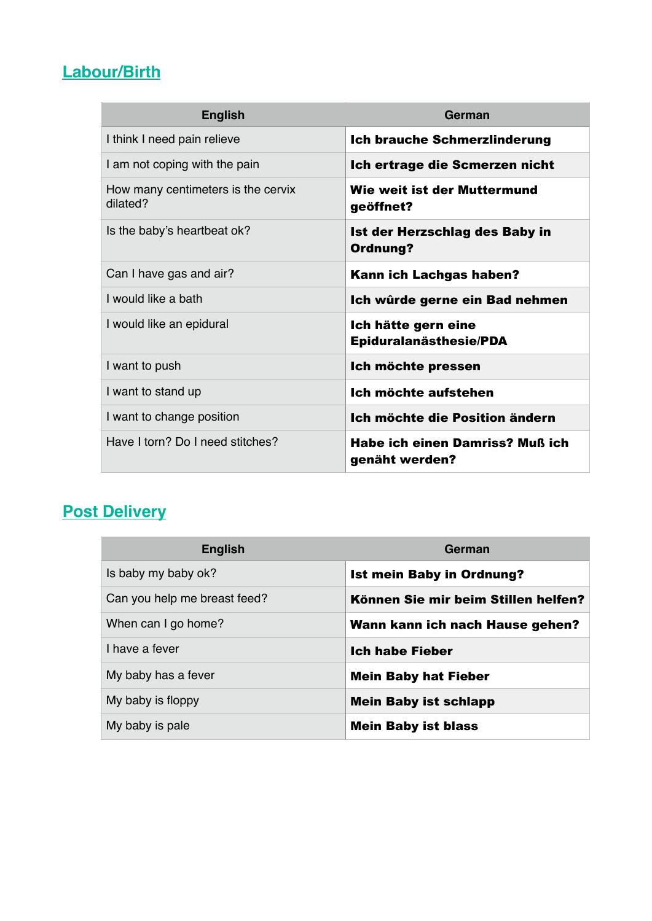## **Labour/Birth**

| <b>English</b>                                 | German                                                   |
|------------------------------------------------|----------------------------------------------------------|
| I think I need pain relieve                    | <b>Ich brauche Schmerzlinderung</b>                      |
| I am not coping with the pain                  | Ich ertrage die Scmerzen nicht                           |
| How many centimeters is the cervix<br>dilated? | Wie weit ist der Muttermund<br>geöffnet?                 |
| Is the baby's heartbeat ok?                    | Ist der Herzschlag des Baby in<br><b>Ordnung?</b>        |
| Can I have gas and air?                        | Kann ich Lachgas haben?                                  |
| I would like a bath                            | Ich wûrde gerne ein Bad nehmen                           |
| I would like an epidural                       | Ich hätte gern eine<br><b>Epiduralanästhesie/PDA</b>     |
| I want to push                                 | Ich möchte pressen                                       |
| I want to stand up                             | Ich möchte aufstehen                                     |
| I want to change position                      | Ich möchte die Position ändern                           |
| Have I torn? Do I need stitches?               | <b>Habe ich einen Damriss? Muß ich</b><br>genäht werden? |

#### **Post Delivery**

| <b>English</b>               | German                              |
|------------------------------|-------------------------------------|
| Is baby my baby ok?          | <b>Ist mein Baby in Ordnung?</b>    |
| Can you help me breast feed? | Können Sie mir beim Stillen helfen? |
| When can I go home?          | Wann kann ich nach Hause gehen?     |
| I have a fever               | <b>Ich habe Fieber</b>              |
| My baby has a fever          | <b>Mein Baby hat Fieber</b>         |
| My baby is floppy            | <b>Mein Baby ist schlapp</b>        |
| My baby is pale              | <b>Mein Baby ist blass</b>          |